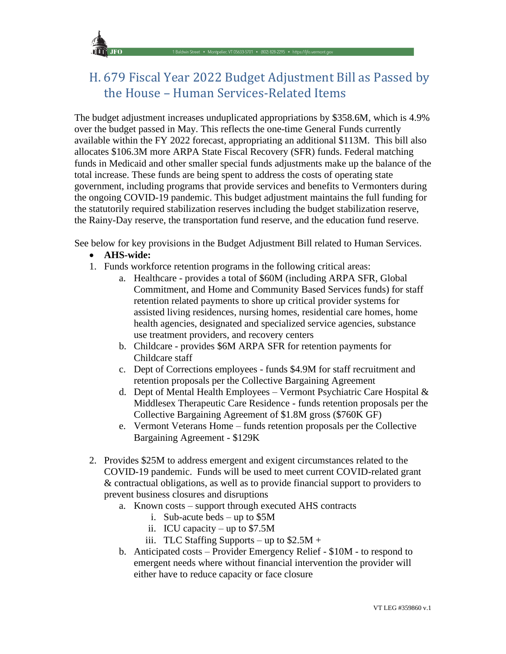

# H. 679 Fiscal Year 2022 Budget Adjustment Bill as Passed by the House – Human Services-Related Items

The budget adjustment increases unduplicated appropriations by \$358.6M, which is 4.9% over the budget passed in May. This reflects the one-time General Funds currently available within the FY 2022 forecast, appropriating an additional \$113M. This bill also allocates \$106.3M more ARPA State Fiscal Recovery (SFR) funds. Federal matching funds in Medicaid and other smaller special funds adjustments make up the balance of the total increase. These funds are being spent to address the costs of operating state government, including programs that provide services and benefits to Vermonters during the ongoing COVID-19 pandemic. This budget adjustment maintains the full funding for the statutorily required stabilization reserves including the budget stabilization reserve, the Rainy-Day reserve, the transportation fund reserve, and the education fund reserve.

See below for key provisions in the Budget Adjustment Bill related to Human Services.

## • **AHS-wide:**

- 1. Funds workforce retention programs in the following critical areas:
	- a. Healthcare provides a total of \$60M (including ARPA SFR, Global Commitment, and Home and Community Based Services funds) for staff retention related payments to shore up critical provider systems for assisted living residences, nursing homes, residential care homes, home health agencies, designated and specialized service agencies, substance use treatment providers, and recovery centers
	- b. Childcare provides \$6M ARPA SFR for retention payments for Childcare staff
	- c. Dept of Corrections employees funds \$4.9M for staff recruitment and retention proposals per the Collective Bargaining Agreement
	- d. Dept of Mental Health Employees Vermont Psychiatric Care Hospital & Middlesex Therapeutic Care Residence - funds retention proposals per the Collective Bargaining Agreement of \$1.8M gross (\$760K GF)
	- e. Vermont Veterans Home funds retention proposals per the Collective Bargaining Agreement - \$129K
- 2. Provides \$25M to address emergent and exigent circumstances related to the COVID-19 pandemic. Funds will be used to meet current COVID-related grant & contractual obligations, as well as to provide financial support to providers to prevent business closures and disruptions
	- a. Known costs support through executed AHS contracts
		- i. Sub-acute beds up to \$5M
		- ii. ICU capacity up to \$7.5M
		- iii. TLC Staffing Supports up to  $$2.5M +$
	- b. Anticipated costs Provider Emergency Relief \$10M to respond to emergent needs where without financial intervention the provider will either have to reduce capacity or face closure